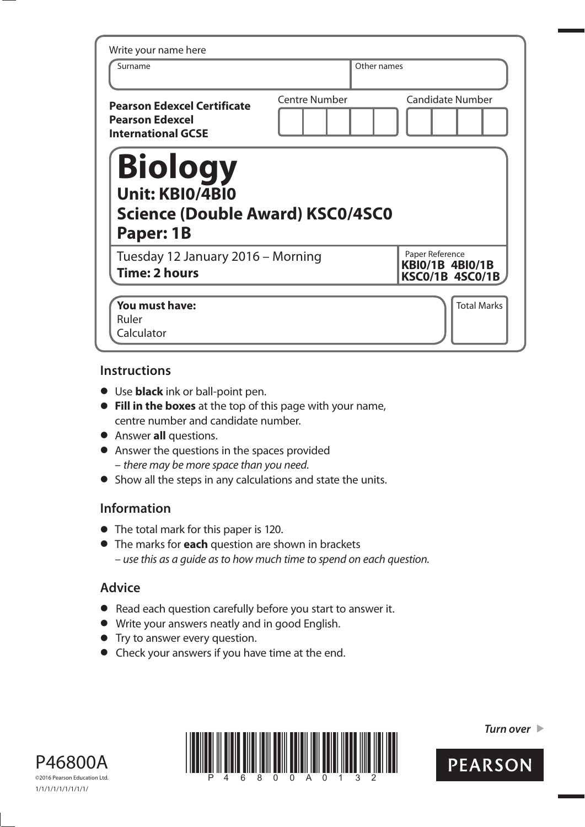| Write your name here<br>Surname                                                           |                      | Other names                                                         |  |
|-------------------------------------------------------------------------------------------|----------------------|---------------------------------------------------------------------|--|
| <b>Pearson Edexcel Certificate</b><br><b>Pearson Edexcel</b><br><b>International GCSE</b> | <b>Centre Number</b> | <b>Candidate Number</b>                                             |  |
| <b>Biology</b>                                                                            |                      |                                                                     |  |
| <b>Unit: KBI0/4BI0</b><br>Science (Double Award) KSC0/4SC0<br>Paper: 1B                   |                      |                                                                     |  |
| Tuesday 12 January 2016 - Morning<br><b>Time: 2 hours</b>                                 |                      | Paper Reference<br><b>KBI0/1B 4BI0/1B</b><br><b>KSC0/1B 4SC0/1B</b> |  |

## **Instructions**

- **•** Use **black** ink or ball-point pen.
- **• Fill in the boxes** at the top of this page with your name, centre number and candidate number.
- **•** Answer **all** questions.
- **•** Answer the questions in the spaces provided – there may be more space than you need.
- **•** Show all the steps in any calculations and state the units.

## **Information**

- **•** The total mark for this paper is 120.
- **•** The marks for **each** question are shown in brackets – use this as a guide as to how much time to spend on each question.

## **Advice**

- **•** Read each question carefully before you start to answer it.
- Read each question carefully before you start t<br>• Write your answers neatly and in good English. • Write your answers neatly and in good English.<br>• Try to answer every question.
- 
- **•** Check your answers if you have time at the end.





*Turn over* 

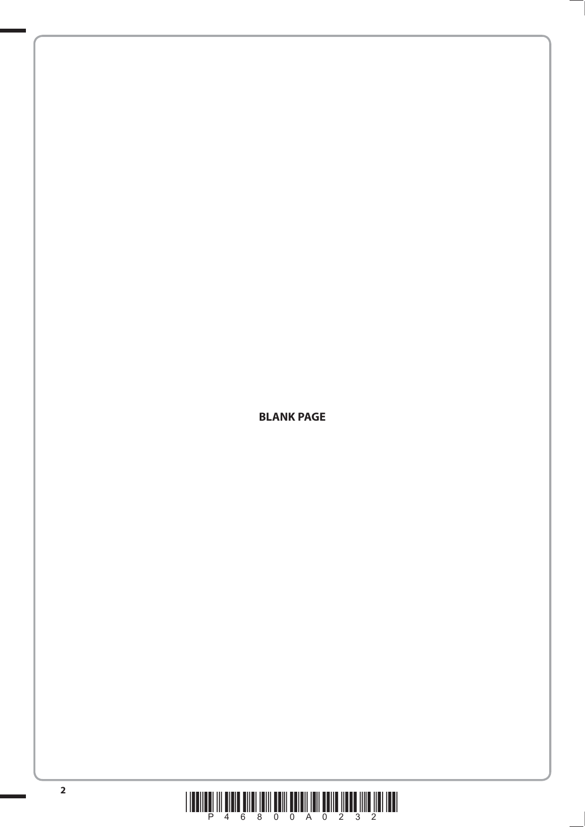

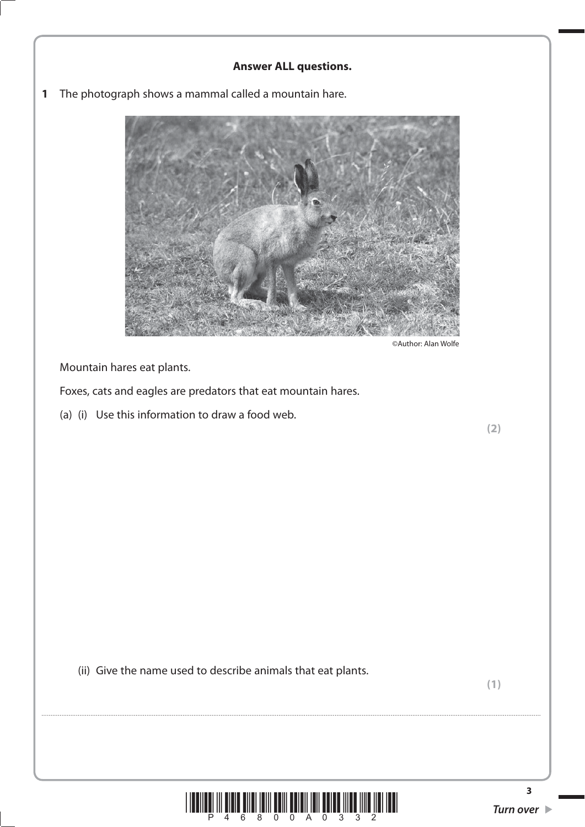## **Answer ALL questions.**

**1** The photograph shows a mammal called a mountain hare.



©Author: Alan Wolfe

Mountain hares eat plants.

Foxes, cats and eagles are predators that eat mountain hares.

(a) (i) Use this information to draw a food web.

**(2)**

(ii) Give the name used to describe animals that eat plants.

**(1)**



....................................................................................................................................................................................................................................................................................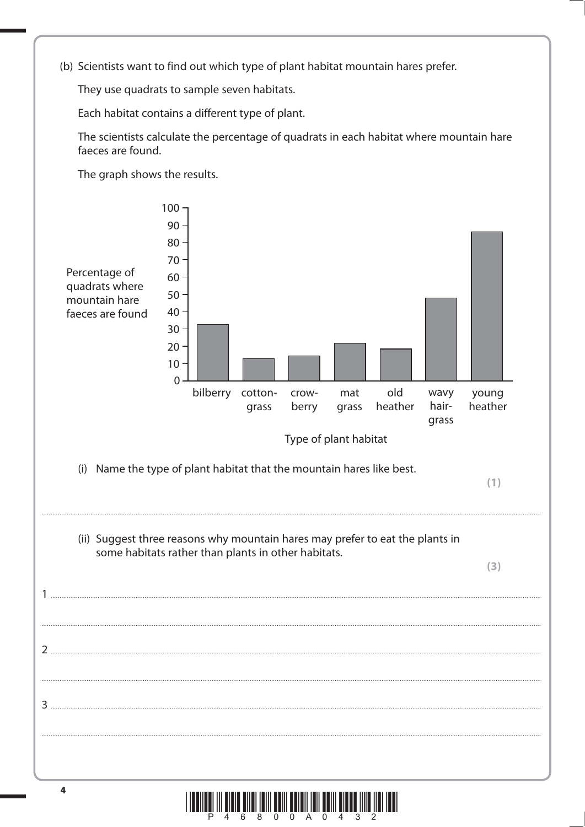(b) Scientists want to find out which type of plant habitat mountain hares prefer.

They use quadrats to sample seven habitats.

Each habitat contains a different type of plant.

The scientists calculate the percentage of quadrats in each habitat where mountain hare faeces are found.

The graph shows the results.

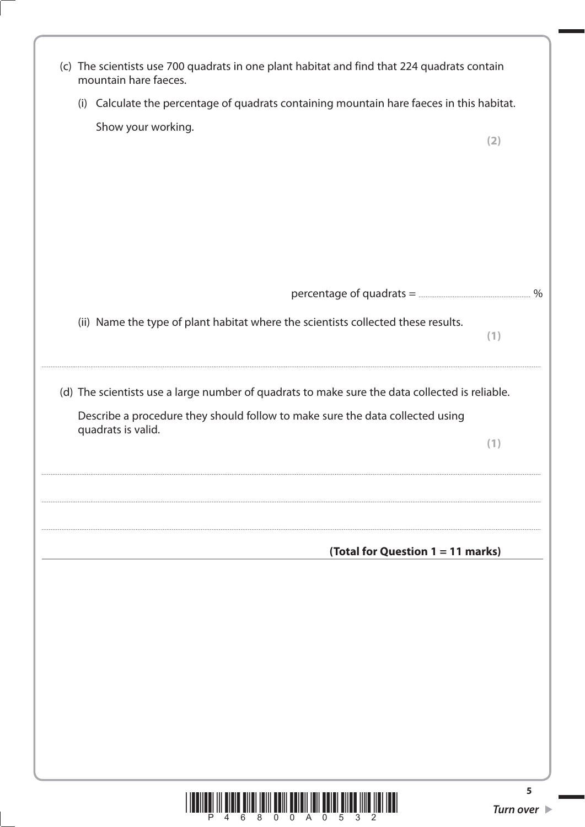| (c) The scientists use 700 quadrats in one plant habitat and find that 224 quadrats contain<br>mountain hare faeces.                                                            |      |
|---------------------------------------------------------------------------------------------------------------------------------------------------------------------------------|------|
| Calculate the percentage of quadrats containing mountain hare faeces in this habitat.<br>(i)                                                                                    |      |
| Show your working.                                                                                                                                                              | (2)  |
|                                                                                                                                                                                 |      |
|                                                                                                                                                                                 |      |
|                                                                                                                                                                                 |      |
|                                                                                                                                                                                 |      |
|                                                                                                                                                                                 | $\%$ |
| (ii) Name the type of plant habitat where the scientists collected these results.                                                                                               | (1)  |
| (d) The scientists use a large number of quadrats to make sure the data collected is reliable.<br>Describe a procedure they should follow to make sure the data collected using |      |
| quadrats is valid.                                                                                                                                                              | (1)  |
|                                                                                                                                                                                 |      |
|                                                                                                                                                                                 |      |
| (Total for Question 1 = 11 marks)                                                                                                                                               |      |
|                                                                                                                                                                                 |      |
|                                                                                                                                                                                 |      |
|                                                                                                                                                                                 |      |
|                                                                                                                                                                                 |      |
|                                                                                                                                                                                 |      |
|                                                                                                                                                                                 |      |
|                                                                                                                                                                                 |      |

 $\begin{array}{c} \text{if} \ \text{if} \ \text{if} \ \text{if} \ \text{if} \ \text{if} \ \text{if} \ \text{if} \ \text{if} \ \text{if} \ \text{if} \ \text{if} \ \text{if} \ \text{if} \ \text{if} \ \text{if} \ \text{if} \ \text{if} \ \text{if} \ \text{if} \ \text{if} \ \text{if} \ \text{if} \ \text{if} \ \text{if} \ \text{if} \ \text{if} \ \text{if} \ \text{if} \ \text{if} \ \text{if} \ \text{if} \ \text{if} \ \text{if} \ \text{if} \ \text{$ 

 $\overline{\mathbf{5}}$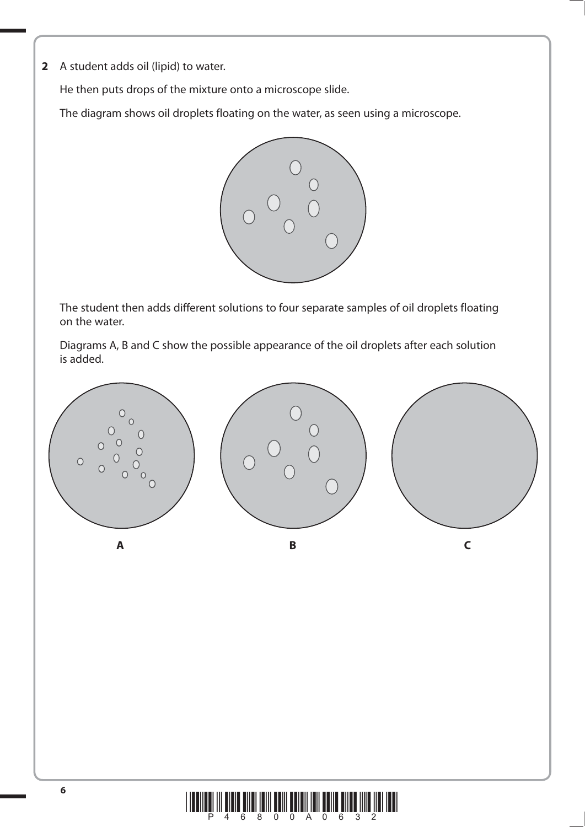**2** A student adds oil (lipid) to water.

He then puts drops of the mixture onto a microscope slide.

The diagram shows oil droplets floating on the water, as seen using a microscope.



 The student then adds different solutions to four separate samples of oil droplets floating on the water.

 Diagrams A, B and C show the possible appearance of the oil droplets after each solution is added.



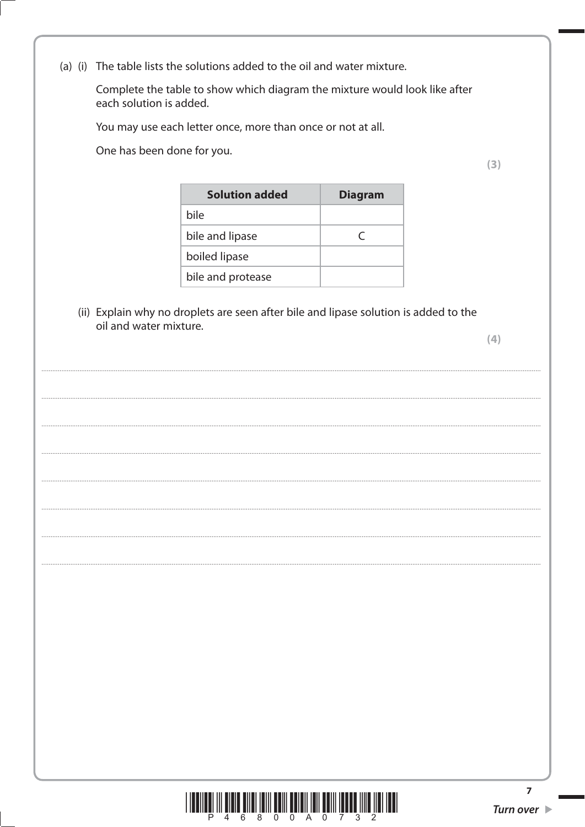(a) (i) The table lists the solutions added to the oil and water mixture.

Complete the table to show which diagram the mixture would look like after each solution is added.

You may use each letter once, more than once or not at all.

One has been done for you.

 $(3)$ 

| <b>Solution added</b> | <b>Diagram</b> |
|-----------------------|----------------|
| hile                  |                |
| bile and lipase       |                |
| boiled lipase         |                |
| bile and protease     |                |

(ii) Explain why no droplets are seen after bile and lipase solution is added to the oil and water mixture.

 $(4)$ 



 $\overline{z}$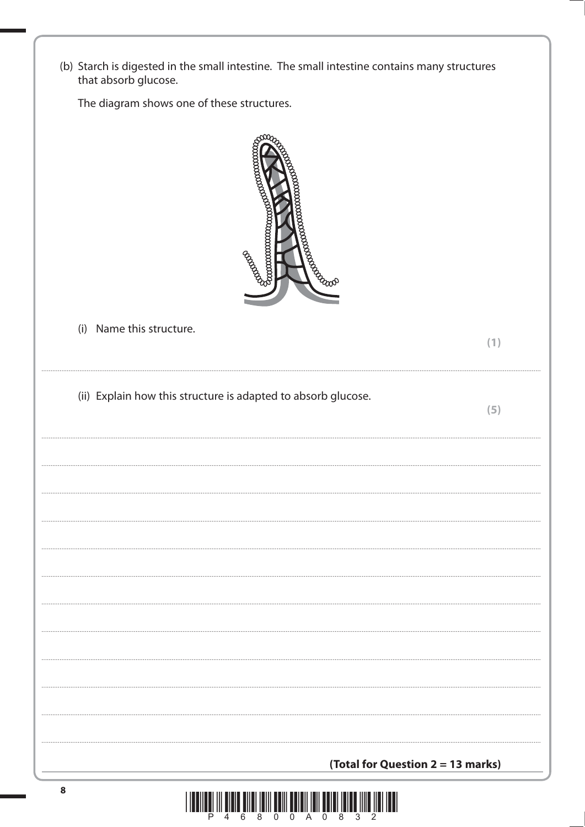

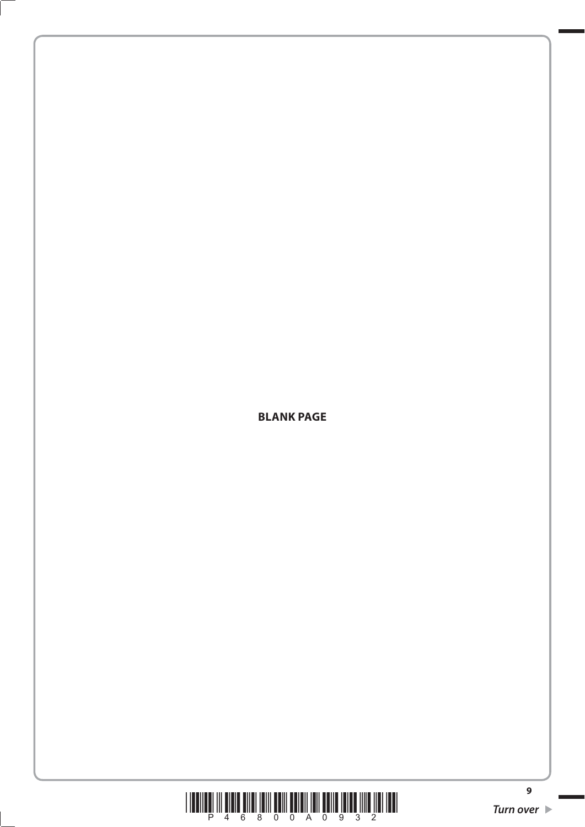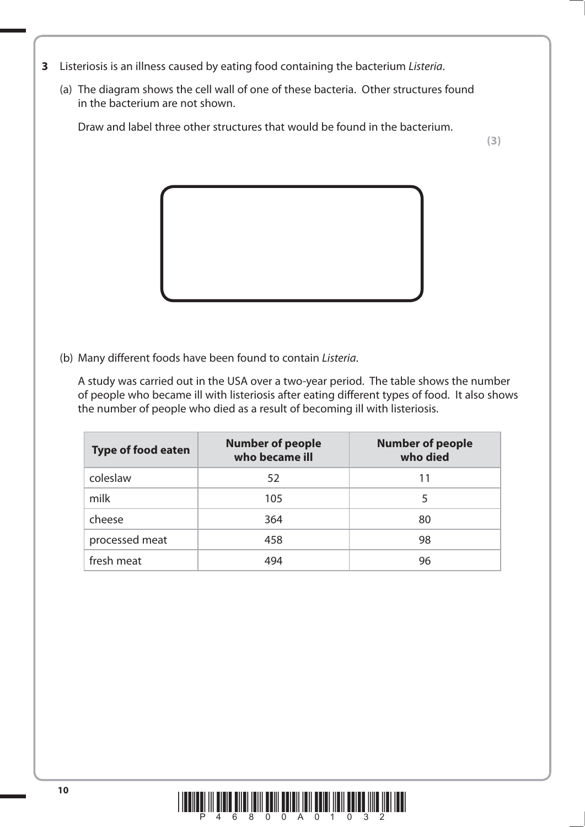- **3** Listeriosis is an illness caused by eating food containing the bacterium Listeria.
	- (a) The diagram shows the cell wall of one of these bacteria. Other structures found in the bacterium are not shown.

Draw and label three other structures that would be found in the bacterium.

**(3)**



(b) Many different foods have been found to contain Listeria.

 A study was carried out in the USA over a two-year period. The table shows the number of people who became ill with listeriosis after eating different types of food. It also shows the number of people who died as a result of becoming ill with listeriosis.

| <b>Type of food eaten</b> | <b>Number of people</b><br>who became ill | <b>Number of people</b><br>who died |
|---------------------------|-------------------------------------------|-------------------------------------|
| coleslaw                  | 52                                        | 11                                  |
| milk                      | 105                                       | 5                                   |
| cheese                    | 364                                       | 80                                  |
| processed meat            | 458                                       | 98                                  |
| fresh meat                | 494                                       | 96                                  |

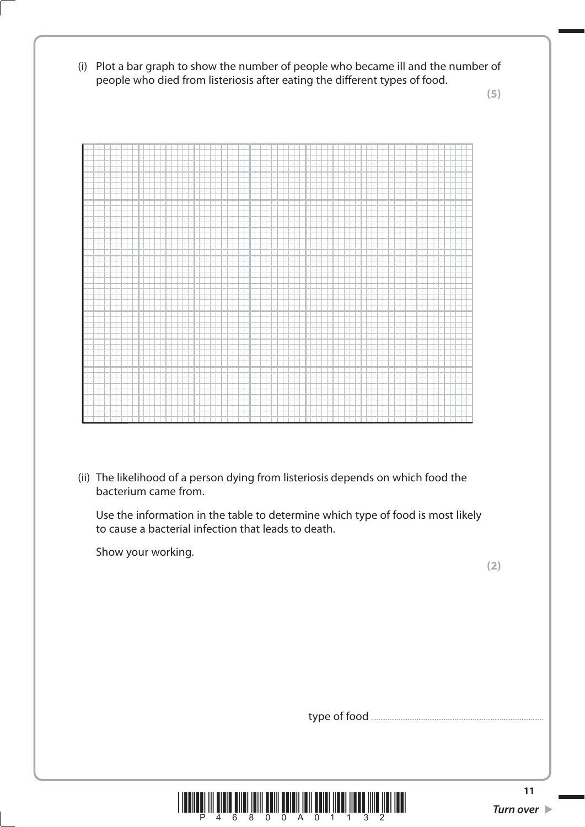(i) Plot a bar graph to show the number of people who became ill and the number of people who died from listeriosis after eating the different types of food.

**(5)**



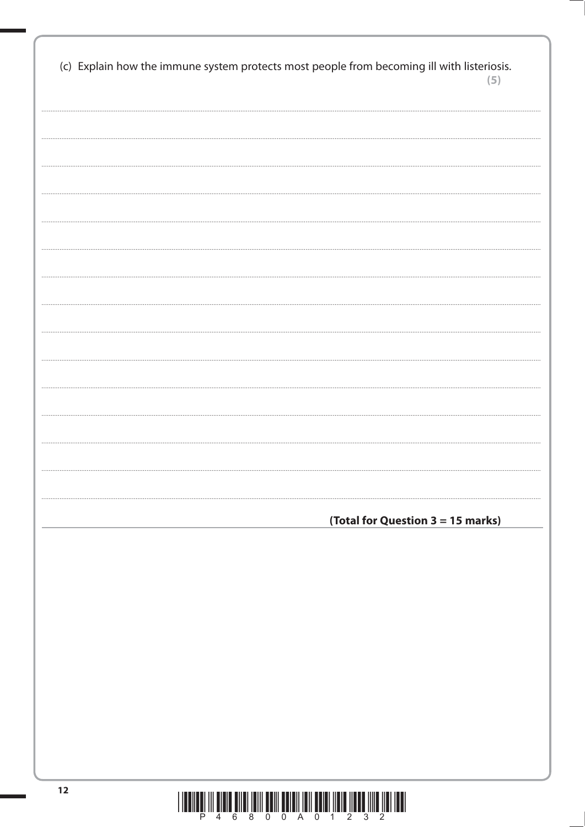|    | (c) Explain how the immune system protects most people from becoming ill with listeriosis.<br>(5) |
|----|---------------------------------------------------------------------------------------------------|
|    |                                                                                                   |
|    |                                                                                                   |
|    |                                                                                                   |
|    |                                                                                                   |
|    |                                                                                                   |
|    |                                                                                                   |
|    |                                                                                                   |
|    |                                                                                                   |
|    |                                                                                                   |
|    |                                                                                                   |
|    |                                                                                                   |
|    | (Total for Question 3 = 15 marks)                                                                 |
|    |                                                                                                   |
|    |                                                                                                   |
|    |                                                                                                   |
|    |                                                                                                   |
|    |                                                                                                   |
|    |                                                                                                   |
| 12 | <u> 1 10011001 111 01010 01101 10111 00111 010101 1011 00101 10110 00010 11001 01110 1101</u>     |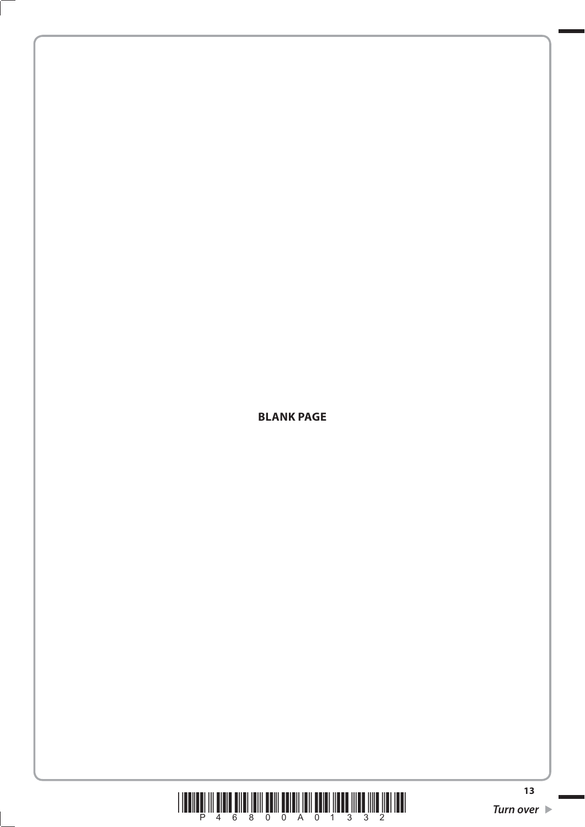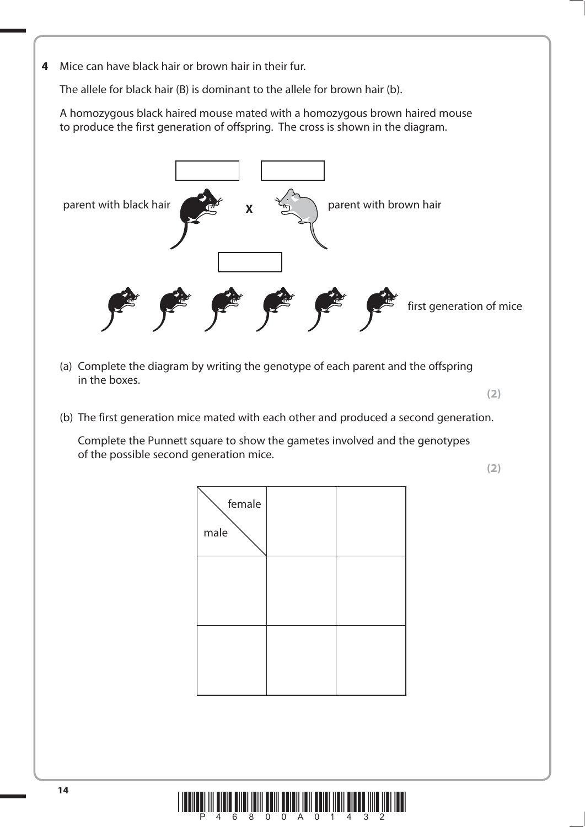**4** Mice can have black hair or brown hair in their fur.

The allele for black hair (B) is dominant to the allele for brown hair (b).

 A homozygous black haired mouse mated with a homozygous brown haired mouse to produce the first generation of offspring. The cross is shown in the diagram.



 (a) Complete the diagram by writing the genotype of each parent and the offspring in the boxes.

**(2)**

(b) The first generation mice mated with each other and produced a second generation.

 Complete the Punnett square to show the gametes involved and the genotypes of the possible second generation mice.

**(2)**

| female<br>male |  |
|----------------|--|
|                |  |
|                |  |
|                |  |
|                |  |
|                |  |
|                |  |
|                |  |

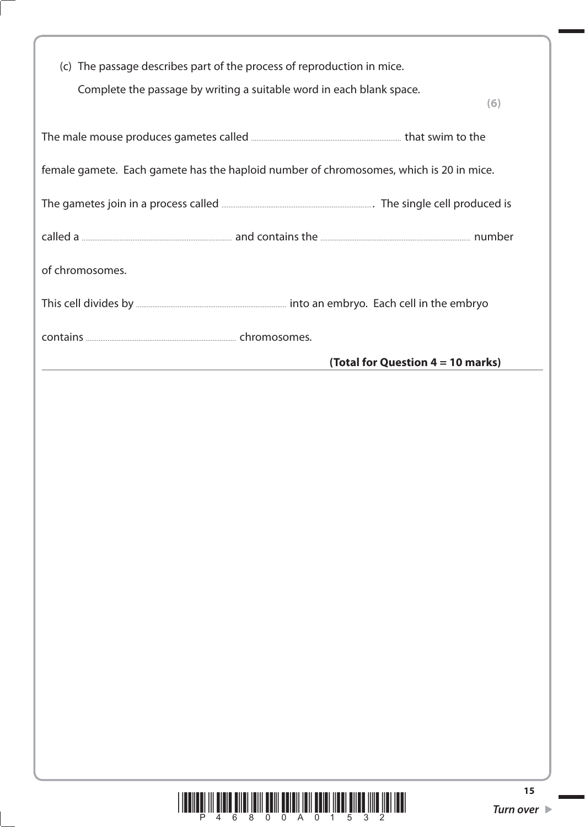| (c) The passage describes part of the process of reproduction in mice.                                                                                        |
|---------------------------------------------------------------------------------------------------------------------------------------------------------------|
| Complete the passage by writing a suitable word in each blank space.<br>(6)                                                                                   |
|                                                                                                                                                               |
| female gamete. Each gamete has the haploid number of chromosomes, which is 20 in mice.                                                                        |
|                                                                                                                                                               |
| called a <b>manufacture in the contains the manufacture and contains</b> the manufacture and contains the manufacture of the number                           |
| of chromosomes.                                                                                                                                               |
|                                                                                                                                                               |
|                                                                                                                                                               |
| (Total for Question 4 = 10 marks)                                                                                                                             |
|                                                                                                                                                               |
|                                                                                                                                                               |
|                                                                                                                                                               |
|                                                                                                                                                               |
|                                                                                                                                                               |
|                                                                                                                                                               |
|                                                                                                                                                               |
|                                                                                                                                                               |
|                                                                                                                                                               |
|                                                                                                                                                               |
|                                                                                                                                                               |
|                                                                                                                                                               |
|                                                                                                                                                               |
|                                                                                                                                                               |
|                                                                                                                                                               |
| 15<br><u>I III ALII III ALII ALII AILII III AALII AALII II AH ALII II AH OO KA AH AH AH AH III AH II AH II AH II AH II</u><br>Turn over $\blacktriangleright$ |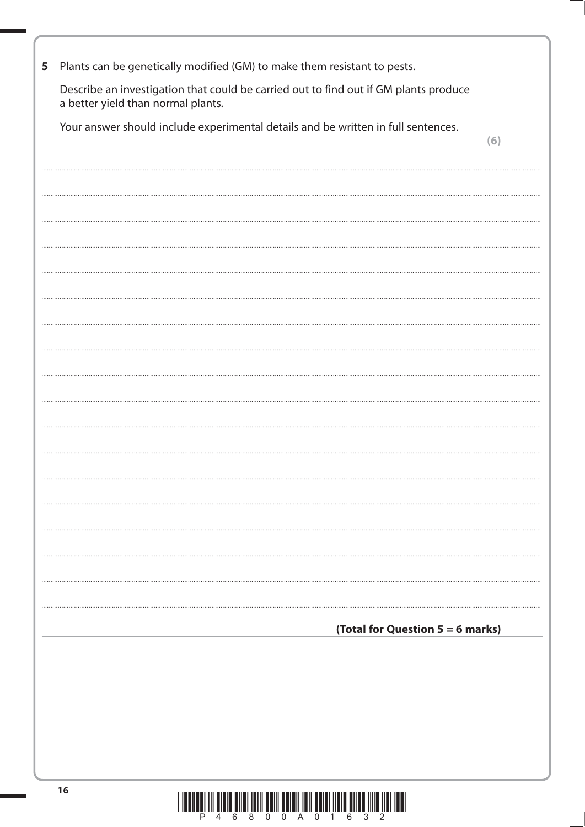| 5 | Plants can be genetically modified (GM) to make them resistant to pests.                                                   |     |
|---|----------------------------------------------------------------------------------------------------------------------------|-----|
|   | Describe an investigation that could be carried out to find out if GM plants produce<br>a better yield than normal plants. |     |
|   | Your answer should include experimental details and be written in full sentences.                                          |     |
|   |                                                                                                                            | (6) |
|   |                                                                                                                            |     |
|   |                                                                                                                            |     |
|   |                                                                                                                            |     |
|   |                                                                                                                            |     |
|   |                                                                                                                            |     |
|   |                                                                                                                            |     |
|   |                                                                                                                            |     |
|   |                                                                                                                            |     |
|   |                                                                                                                            |     |
|   |                                                                                                                            |     |
|   |                                                                                                                            |     |
|   |                                                                                                                            |     |
|   |                                                                                                                            |     |
|   |                                                                                                                            |     |
|   |                                                                                                                            |     |
|   |                                                                                                                            |     |
|   |                                                                                                                            |     |
|   |                                                                                                                            |     |
|   |                                                                                                                            |     |
|   |                                                                                                                            |     |
|   |                                                                                                                            |     |
|   | (Total for Question 5 = 6 marks)                                                                                           |     |
|   |                                                                                                                            |     |
|   |                                                                                                                            |     |
|   |                                                                                                                            |     |
|   |                                                                                                                            |     |
|   |                                                                                                                            |     |
|   |                                                                                                                            |     |
|   |                                                                                                                            |     |
|   | 16                                                                                                                         |     |

THEORE III THE BILL RIN BEIN BEINT THE BILL HELE BILL THE BILL THE L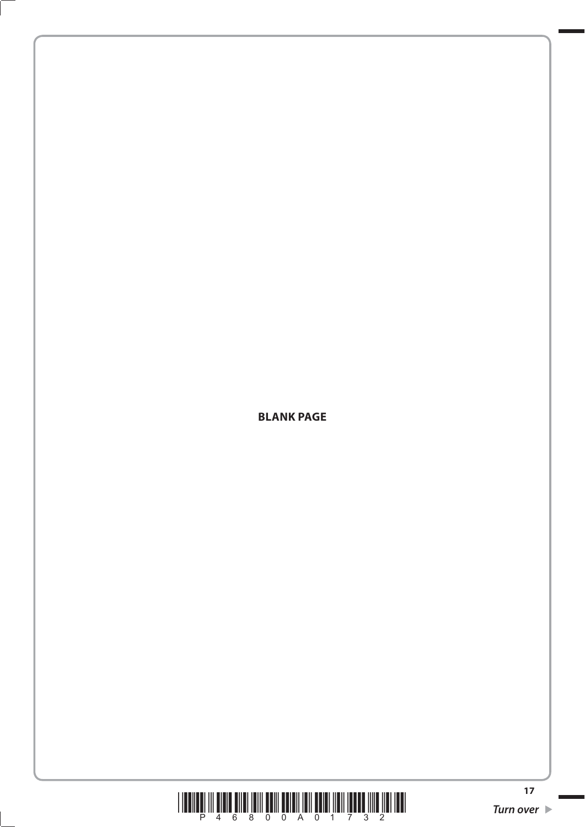

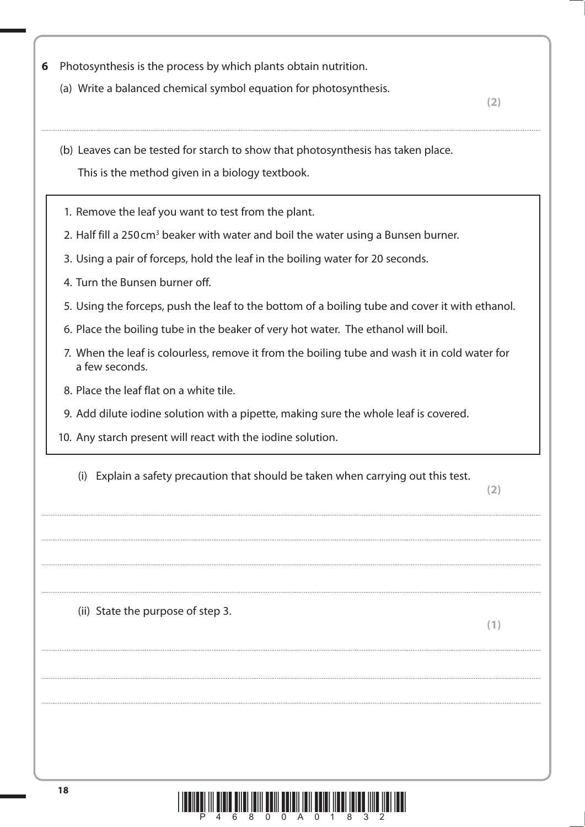(a) Write a balanced chemical symbol equation for photosynthesis.

 $(2)$ 

- (b) Leaves can be tested for starch to show that photosynthesis has taken place. This is the method given in a biology textbook.
- 1. Remove the leaf you want to test from the plant.
- 2. Half fill a 250 cm<sup>3</sup> beaker with water and boil the water using a Bunsen burner.
- 3. Using a pair of forceps, hold the leaf in the boiling water for 20 seconds.
- 4. Turn the Bunsen burner off.
- 5. Using the forceps, push the leaf to the bottom of a boiling tube and cover it with ethanol.
- 6. Place the boiling tube in the beaker of very hot water. The ethanol will boil.
- 7. When the leaf is colourless, remove it from the boiling tube and wash it in cold water for a few seconds.
- 8. Place the leaf flat on a white tile.
- 9. Add dilute iodine solution with a pipette, making sure the whole leaf is covered.
- 10. Any starch present will react with the iodine solution.
	- (i) Explain a safety precaution that should be taken when carrying out this test.

 $(2)$ 

(ii) State the purpose of step 3.

 $(1)$ 

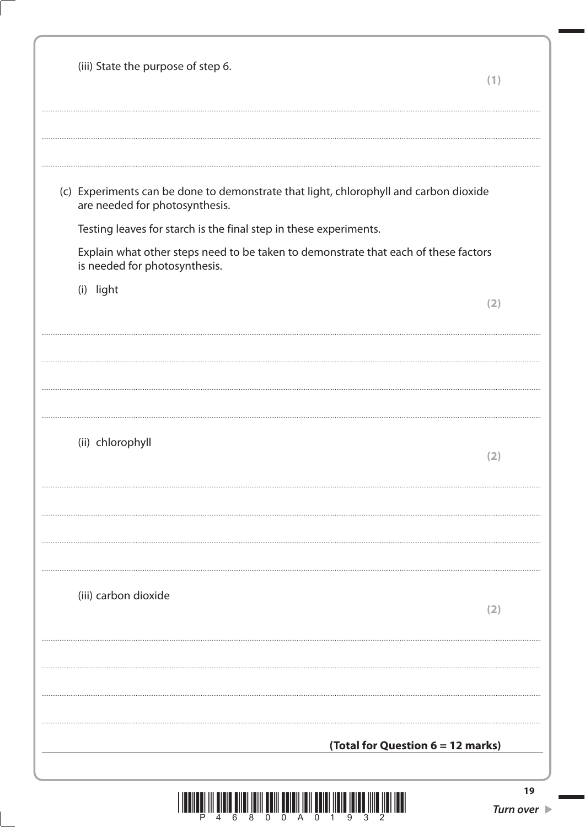| (iii) State the purpose of step 6.                                                                                      | (1)                               |
|-------------------------------------------------------------------------------------------------------------------------|-----------------------------------|
|                                                                                                                         |                                   |
| (c) Experiments can be done to demonstrate that light, chlorophyll and carbon dioxide<br>are needed for photosynthesis. |                                   |
| Testing leaves for starch is the final step in these experiments.                                                       |                                   |
| Explain what other steps need to be taken to demonstrate that each of these factors<br>is needed for photosynthesis.    |                                   |
| (i) light                                                                                                               | (2)                               |
|                                                                                                                         |                                   |
|                                                                                                                         |                                   |
| (ii) chlorophyll                                                                                                        | (2)                               |
|                                                                                                                         |                                   |
|                                                                                                                         |                                   |
| (iii) carbon dioxide                                                                                                    | (2)                               |
|                                                                                                                         |                                   |
|                                                                                                                         |                                   |
|                                                                                                                         | (Total for Question 6 = 12 marks) |
|                                                                                                                         |                                   |

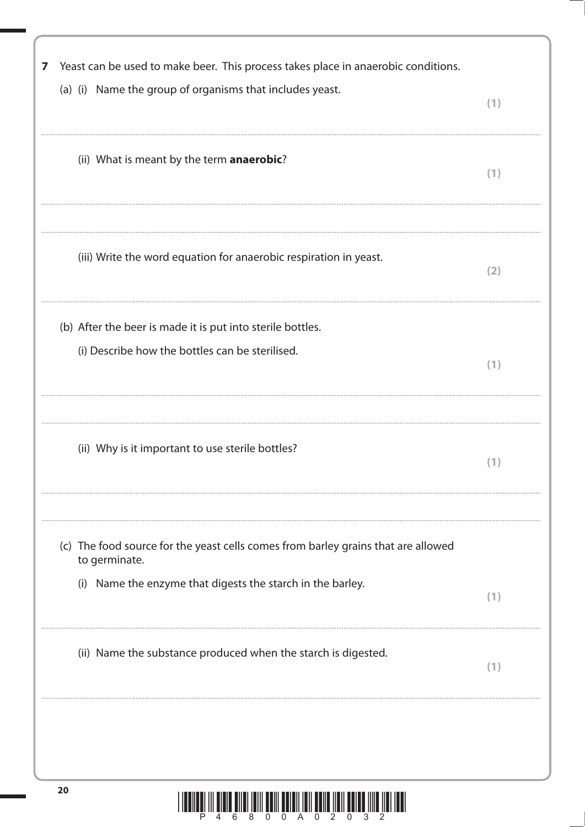| Yeast can be used to make beer. This process takes place in anaerobic conditions.<br>7<br>(a) (i) Name the group of organisms that includes yeast. | (1) |
|----------------------------------------------------------------------------------------------------------------------------------------------------|-----|
| (ii) What is meant by the term anaerobic?                                                                                                          | (1) |
| (iii) Write the word equation for anaerobic respiration in yeast.                                                                                  | (2) |
| (b) After the beer is made it is put into sterile bottles.<br>(i) Describe how the bottles can be sterilised.                                      | (1) |
| (ii) Why is it important to use sterile bottles?                                                                                                   | (1) |
| (c) The food source for the yeast cells comes from barley grains that are allowed<br>to germinate.                                                 |     |
| (i) Name the enzyme that digests the starch in the barley.                                                                                         | (1) |
| (ii) Name the substance produced when the starch is digested.                                                                                      | (1) |
|                                                                                                                                                    |     |

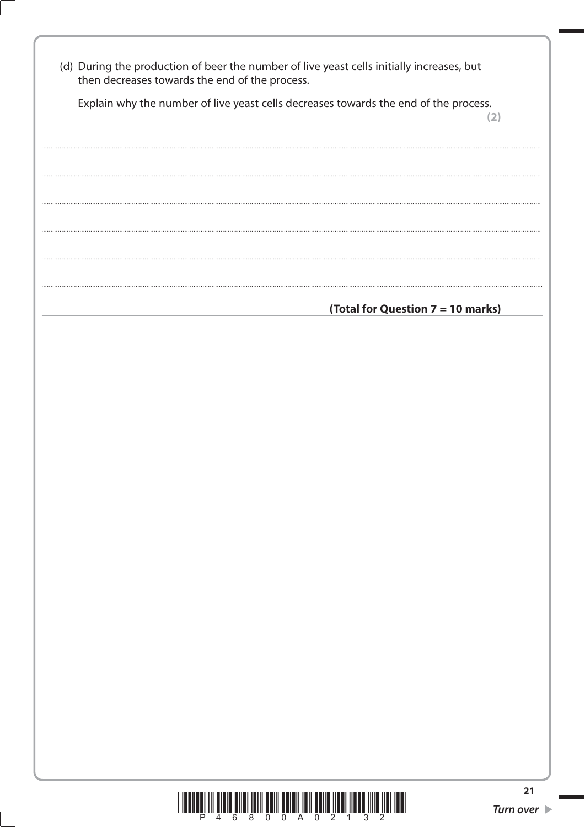| then decreases towards the end of the process.                                              |  |
|---------------------------------------------------------------------------------------------|--|
| Explain why the number of live yeast cells decreases towards the end of the process.<br>(2) |  |
|                                                                                             |  |
|                                                                                             |  |
|                                                                                             |  |
|                                                                                             |  |
|                                                                                             |  |
|                                                                                             |  |
| (Total for Question 7 = 10 marks)                                                           |  |
|                                                                                             |  |
|                                                                                             |  |
|                                                                                             |  |
|                                                                                             |  |
|                                                                                             |  |
|                                                                                             |  |
|                                                                                             |  |
|                                                                                             |  |
|                                                                                             |  |
|                                                                                             |  |
|                                                                                             |  |
|                                                                                             |  |
|                                                                                             |  |
|                                                                                             |  |
|                                                                                             |  |
|                                                                                             |  |
|                                                                                             |  |

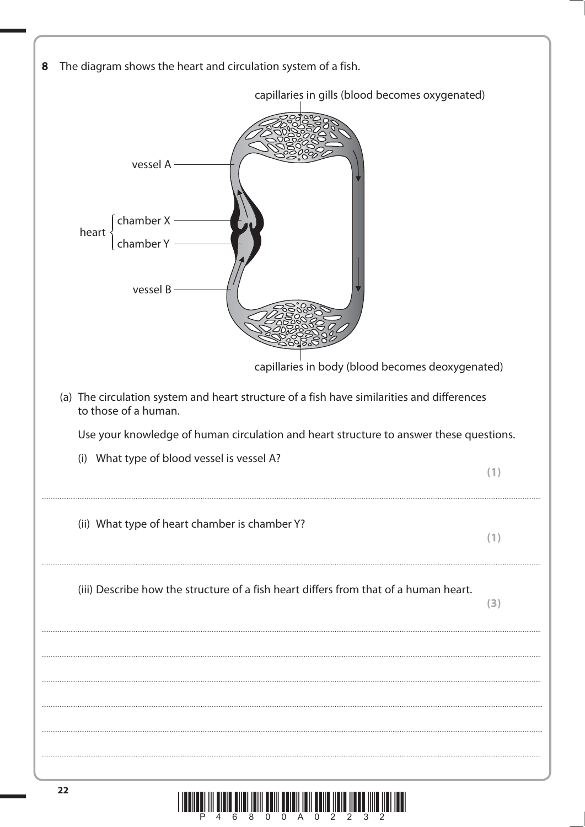

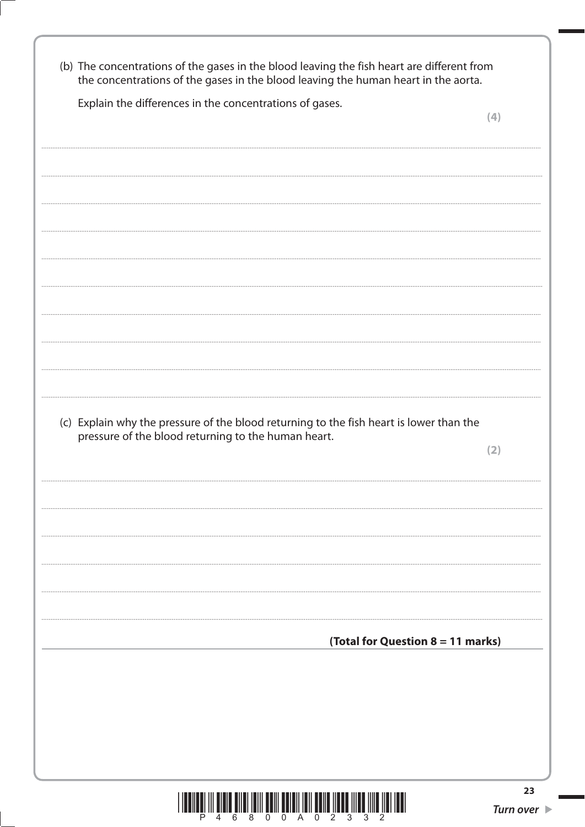| Explain the differences in the concentrations of gases.                                                                                        |     |
|------------------------------------------------------------------------------------------------------------------------------------------------|-----|
|                                                                                                                                                | (4) |
|                                                                                                                                                |     |
|                                                                                                                                                |     |
|                                                                                                                                                |     |
|                                                                                                                                                |     |
|                                                                                                                                                |     |
|                                                                                                                                                |     |
|                                                                                                                                                |     |
|                                                                                                                                                |     |
|                                                                                                                                                |     |
|                                                                                                                                                |     |
|                                                                                                                                                |     |
|                                                                                                                                                |     |
|                                                                                                                                                |     |
| (c) Explain why the pressure of the blood returning to the fish heart is lower than the<br>pressure of the blood returning to the human heart. | (2) |
|                                                                                                                                                |     |
|                                                                                                                                                |     |
|                                                                                                                                                |     |
|                                                                                                                                                |     |
|                                                                                                                                                |     |
|                                                                                                                                                |     |
|                                                                                                                                                |     |
|                                                                                                                                                |     |
| (Total for Question 8 = 11 marks)                                                                                                              |     |
|                                                                                                                                                |     |
|                                                                                                                                                |     |
|                                                                                                                                                |     |

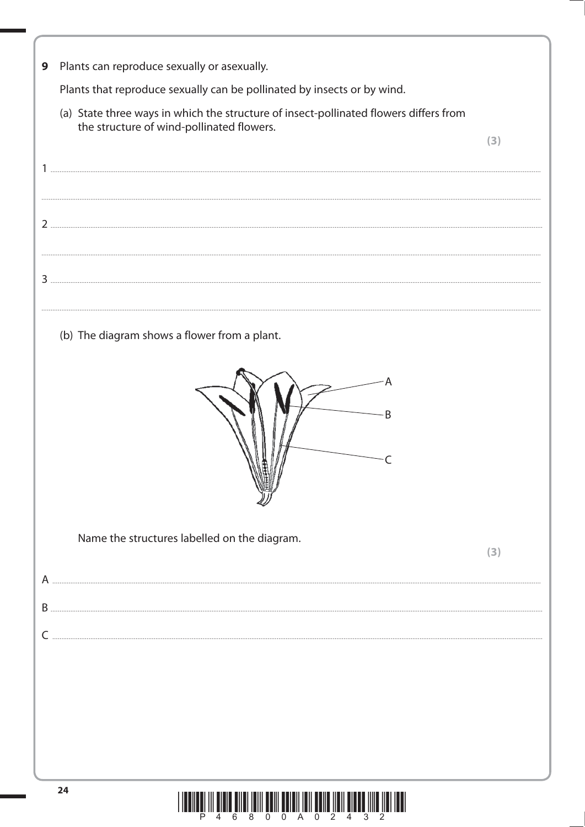| Plants can reproduce sexually or asexually.<br>9                                                                                   |     |
|------------------------------------------------------------------------------------------------------------------------------------|-----|
| Plants that reproduce sexually can be pollinated by insects or by wind.                                                            |     |
| (a) State three ways in which the structure of insect-pollinated flowers differs from<br>the structure of wind-pollinated flowers. | (3) |
|                                                                                                                                    |     |
| 2 <sub>1</sub>                                                                                                                     |     |
| $3 -$                                                                                                                              |     |
| (b) The diagram shows a flower from a plant.                                                                                       |     |
| B                                                                                                                                  |     |
| Name the structures labelled on the diagram.                                                                                       | (3) |
|                                                                                                                                    |     |
|                                                                                                                                    |     |
|                                                                                                                                    |     |
|                                                                                                                                    |     |
|                                                                                                                                    |     |
|                                                                                                                                    |     |
|                                                                                                                                    |     |
| 24<br><u>II II DIIH IIII DIIH DIIH AHAA JAHU DIIH II HII DIIH III HII JIHA JAHU</u>                                                |     |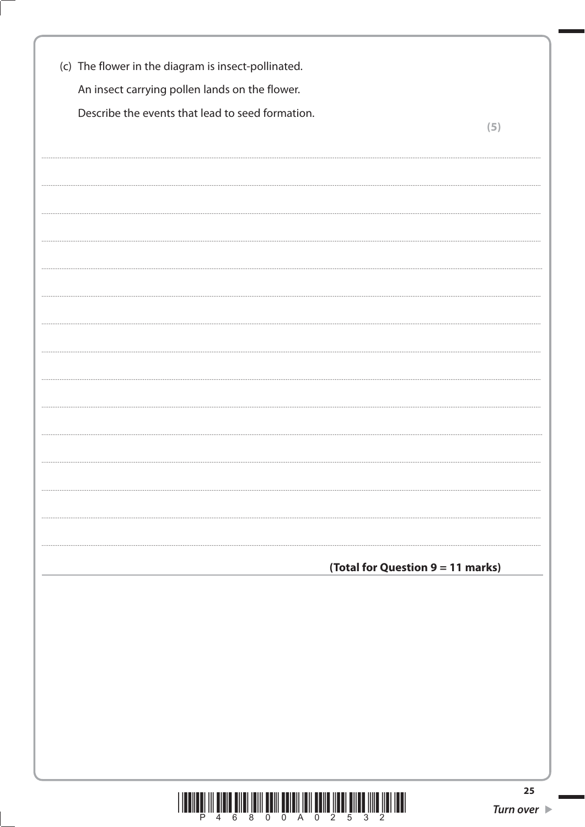| (c) The flower in the diagram is insect-pollinated.                 |                                 |
|---------------------------------------------------------------------|---------------------------------|
| An insect carrying pollen lands on the flower.                      |                                 |
| Describe the events that lead to seed formation.                    | (5)                             |
|                                                                     |                                 |
|                                                                     |                                 |
|                                                                     |                                 |
|                                                                     |                                 |
|                                                                     |                                 |
|                                                                     |                                 |
|                                                                     |                                 |
|                                                                     |                                 |
|                                                                     |                                 |
|                                                                     |                                 |
|                                                                     |                                 |
|                                                                     |                                 |
|                                                                     |                                 |
|                                                                     |                                 |
|                                                                     |                                 |
|                                                                     |                                 |
|                                                                     |                                 |
|                                                                     |                                 |
| (Total for Question 9 = 11 marks)                                   |                                 |
|                                                                     |                                 |
|                                                                     |                                 |
|                                                                     |                                 |
|                                                                     |                                 |
|                                                                     |                                 |
|                                                                     |                                 |
|                                                                     |                                 |
|                                                                     |                                 |
|                                                                     | 25                              |
| 8<br>$\Omega$<br>$\Omega$<br>2<br>5<br>Р<br>6<br>$\Omega$<br>3<br>2 | Turn over $\blacktriangleright$ |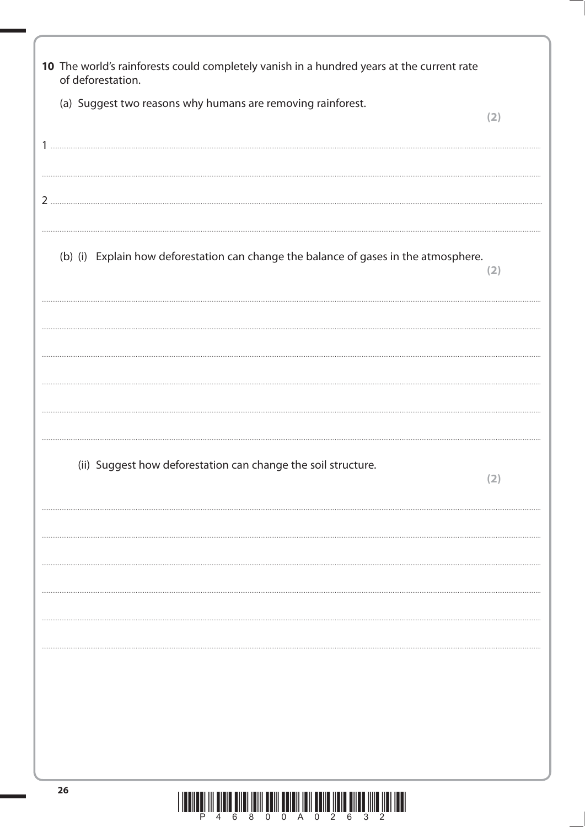10 The world's rainforests could completely vanish in a hundred years at the current rate of deforestation. (a) Suggest two reasons why humans are removing rainforest.  $(2)$ (b) (i) Explain how deforestation can change the balance of gases in the atmosphere.  $(2)$ (ii) Suggest how deforestation can change the soil structure.  $(2)$ 26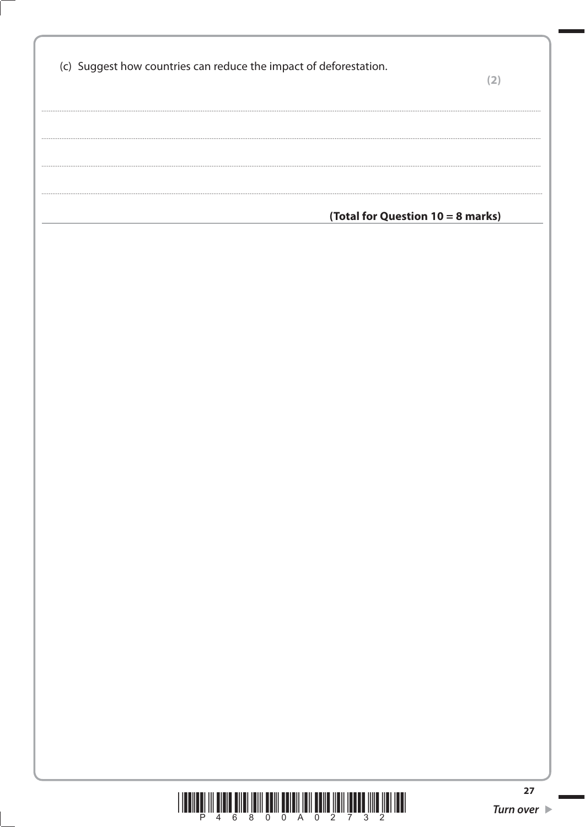| (c) Suggest how countries can reduce the impact of deforestation. | (2)                               |
|-------------------------------------------------------------------|-----------------------------------|
|                                                                   |                                   |
|                                                                   |                                   |
|                                                                   |                                   |
|                                                                   | (Total for Question 10 = 8 marks) |
|                                                                   |                                   |
|                                                                   |                                   |
|                                                                   |                                   |
|                                                                   |                                   |
|                                                                   |                                   |
|                                                                   |                                   |
|                                                                   |                                   |
|                                                                   |                                   |
|                                                                   |                                   |
|                                                                   |                                   |
|                                                                   |                                   |
|                                                                   |                                   |
|                                                                   |                                   |
|                                                                   |                                   |
|                                                                   |                                   |
|                                                                   |                                   |
|                                                                   |                                   |
|                                                                   |                                   |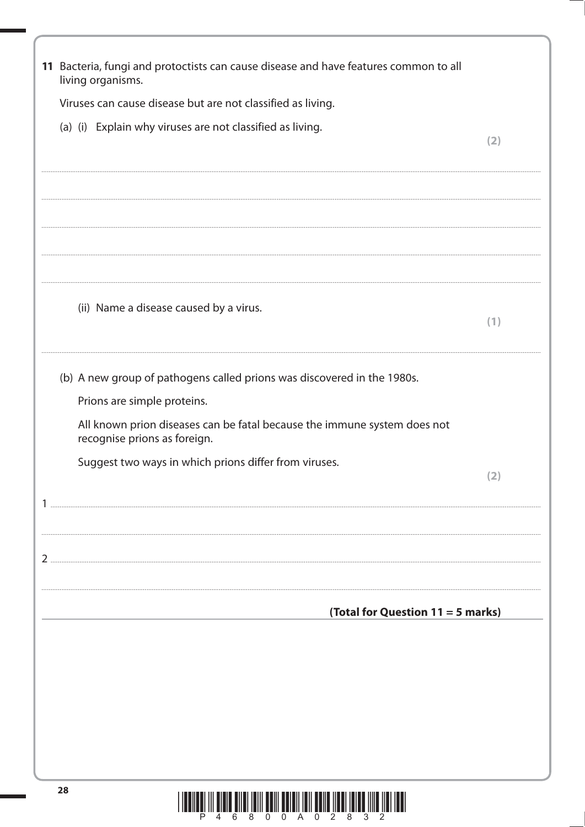| 11 Bacteria, fungi and protoctists can cause disease and have features common to all<br>living organisms. |     |
|-----------------------------------------------------------------------------------------------------------|-----|
| Viruses can cause disease but are not classified as living.                                               |     |
| (a) (i) Explain why viruses are not classified as living.                                                 | (2) |
|                                                                                                           |     |
|                                                                                                           |     |
|                                                                                                           |     |
|                                                                                                           |     |
|                                                                                                           |     |
|                                                                                                           |     |
| (ii) Name a disease caused by a virus.                                                                    |     |
|                                                                                                           | (1) |
|                                                                                                           |     |
| (b) A new group of pathogens called prions was discovered in the 1980s.                                   |     |
| Prions are simple proteins.                                                                               |     |
| All known prion diseases can be fatal because the immune system does not<br>recognise prions as foreign.  |     |
| Suggest two ways in which prions differ from viruses.                                                     | (2) |
|                                                                                                           |     |
|                                                                                                           |     |
|                                                                                                           |     |
|                                                                                                           |     |
|                                                                                                           |     |
| (Total for Question 11 = 5 marks)                                                                         |     |
|                                                                                                           |     |
|                                                                                                           |     |
|                                                                                                           |     |
|                                                                                                           |     |
|                                                                                                           |     |
|                                                                                                           |     |
| 28                                                                                                        |     |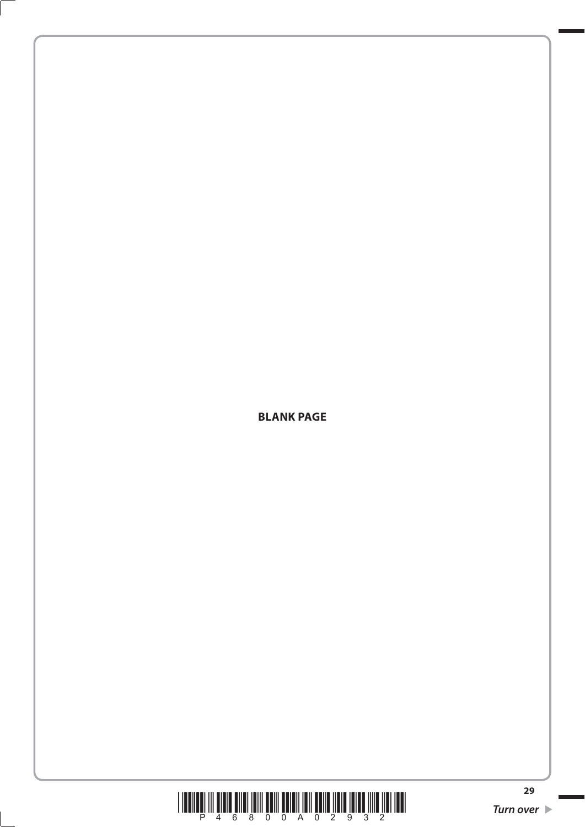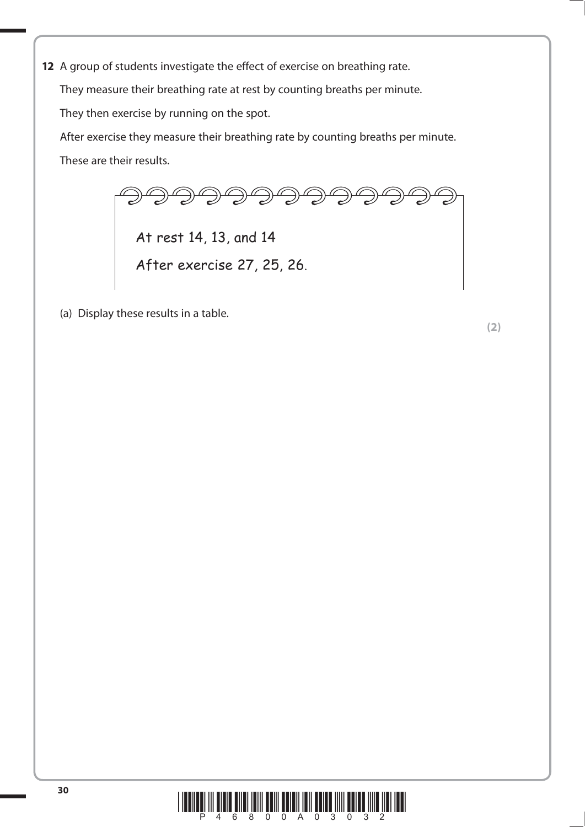**12** A group of students investigate the effect of exercise on breathing rate.

They measure their breathing rate at rest by counting breaths per minute.

They then exercise by running on the spot.

After exercise they measure their breathing rate by counting breaths per minute.

These are their results.



At rest 14, 13, and 14 After exercise 27, 25, 26.

(a) Display these results in a table.

**(2)**

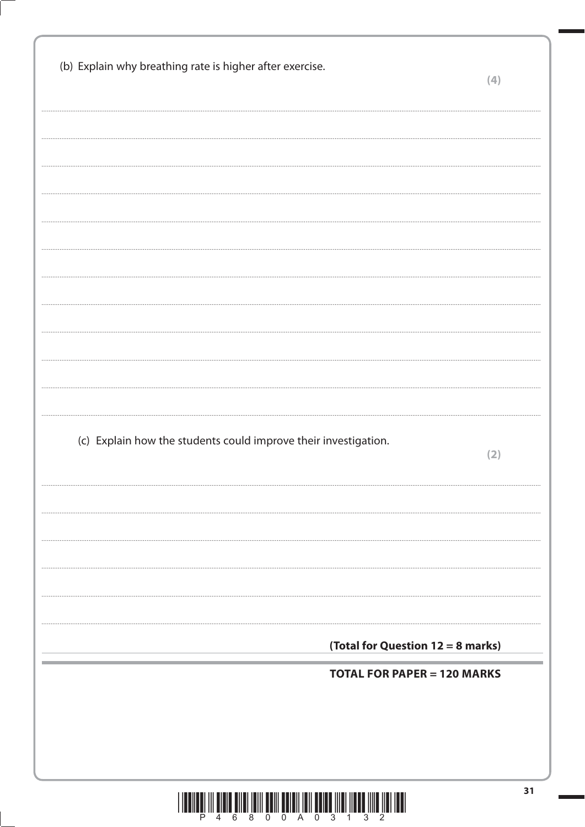| (b) Explain why breathing rate is higher after exercise.        | (4)                               |  |
|-----------------------------------------------------------------|-----------------------------------|--|
|                                                                 |                                   |  |
|                                                                 |                                   |  |
|                                                                 |                                   |  |
|                                                                 |                                   |  |
|                                                                 |                                   |  |
|                                                                 |                                   |  |
|                                                                 |                                   |  |
|                                                                 |                                   |  |
|                                                                 |                                   |  |
|                                                                 |                                   |  |
|                                                                 |                                   |  |
| (c) Explain how the students could improve their investigation. | (2)                               |  |
|                                                                 |                                   |  |
|                                                                 |                                   |  |
|                                                                 |                                   |  |
|                                                                 |                                   |  |
|                                                                 |                                   |  |
|                                                                 | (Total for Question 12 = 8 marks) |  |
| <b>TOTAL FOR PAPER = 120 MARKS</b>                              |                                   |  |
|                                                                 |                                   |  |
|                                                                 |                                   |  |
|                                                                 |                                   |  |
|                                                                 |                                   |  |